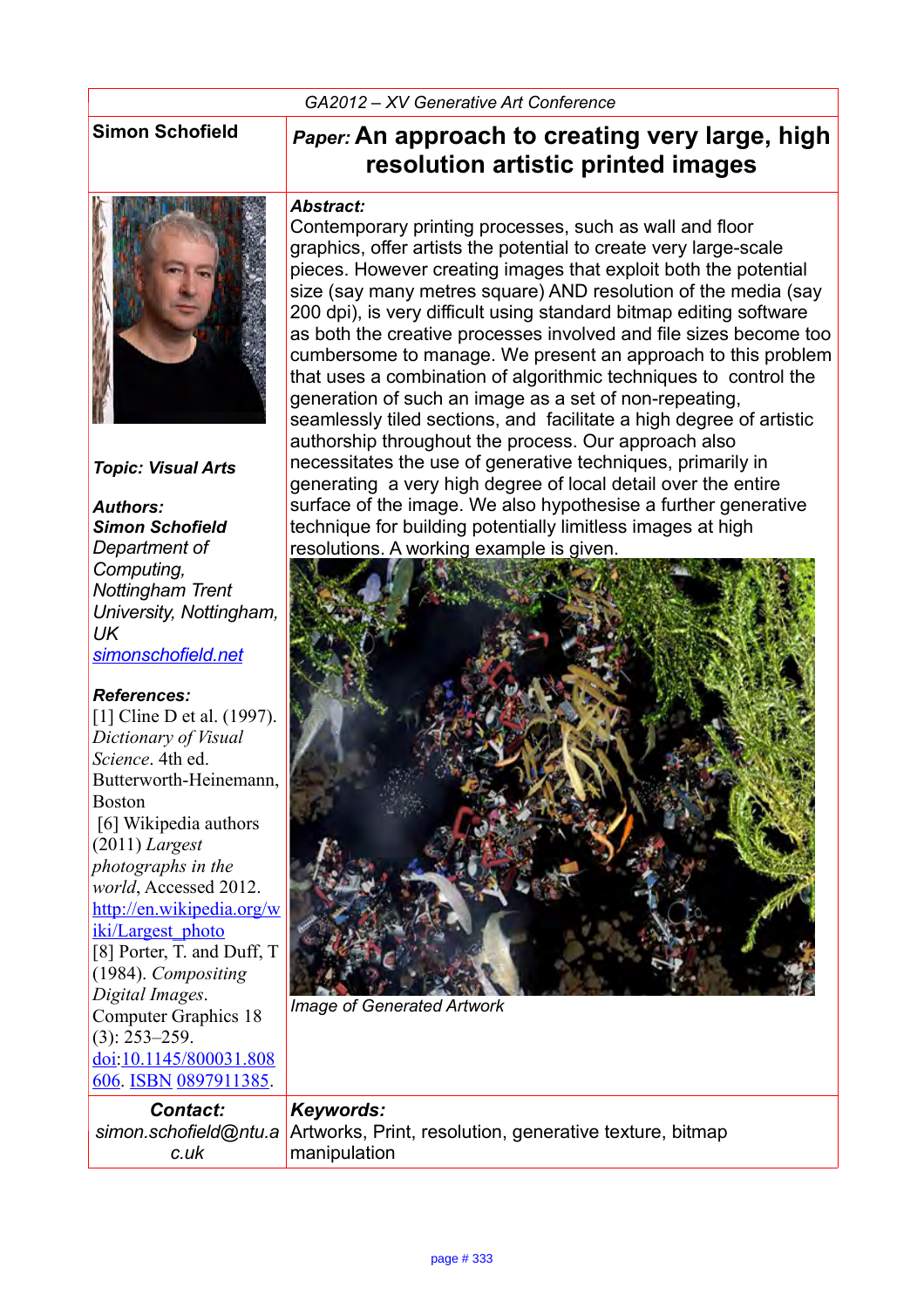#### *GA2012 – XV Generative Art Conference*



*Topic: Visual Arts*

#### *Authors: Simon Schofield Department of Computing, Nottingham Trent University, Nottingham, UK [simonschofield.net](http://www.simonschofield.net/)*

#### *References:*

[1] Cline D et al. (1997). *Dictionary of Visual Science*. 4th ed. Butterworth-Heinemann, Boston [6] Wikipedia authors (2011) *Largest photographs in the world*, Accessed 2012. [http://en.wikipedia.org/w](http://en.wikipedia.org/wiki/Largest_photo) [iki/Largest\\_photo](http://en.wikipedia.org/wiki/Largest_photo) [8] Porter, T. and Duff, T. (1984). *Compositing Digital Images*. Computer Graphics 18 (3): 253–259. [doi:](http://en.wikipedia.org/wiki/Digital_object_identifier)[10.1145/800031.808](http://dx.doi.org/10.1145%2F800031.808606) [606.](http://dx.doi.org/10.1145%2F800031.808606) [ISBN](http://en.wikipedia.org/wiki/International_Standard_Book_Number) [0897911385.](http://en.wikipedia.org/wiki/Special:BookSources/0897911385)

# **Simon Schofield** *Paper:* **An approach to creating very large, high resolution artistic printed images**

#### *Abstract:*

Contemporary printing processes, such as wall and floor graphics, offer artists the potential to create very large-scale pieces. However creating images that exploit both the potential size (say many metres square) AND resolution of the media (say 200 dpi), is very difficult using standard bitmap editing software as both the creative processes involved and file sizes become too cumbersome to manage. We present an approach to this problem that uses a combination of algorithmic techniques to control the generation of such an image as a set of non-repeating, seamlessly tiled sections, and facilitate a high degree of artistic authorship throughout the process. Our approach also necessitates the use of generative techniques, primarily in generating a very high degree of local detail over the entire surface of the image. We also hypothesise a further generative technique for building potentially limitless images at high resolutions. A working example is given.



*Image of Generated Artwork*

*Contact:*  simon.schofield@ntu.a Artworks, Print, resolution, generative texture, bitmap *c.uk Keywords:*  manipulation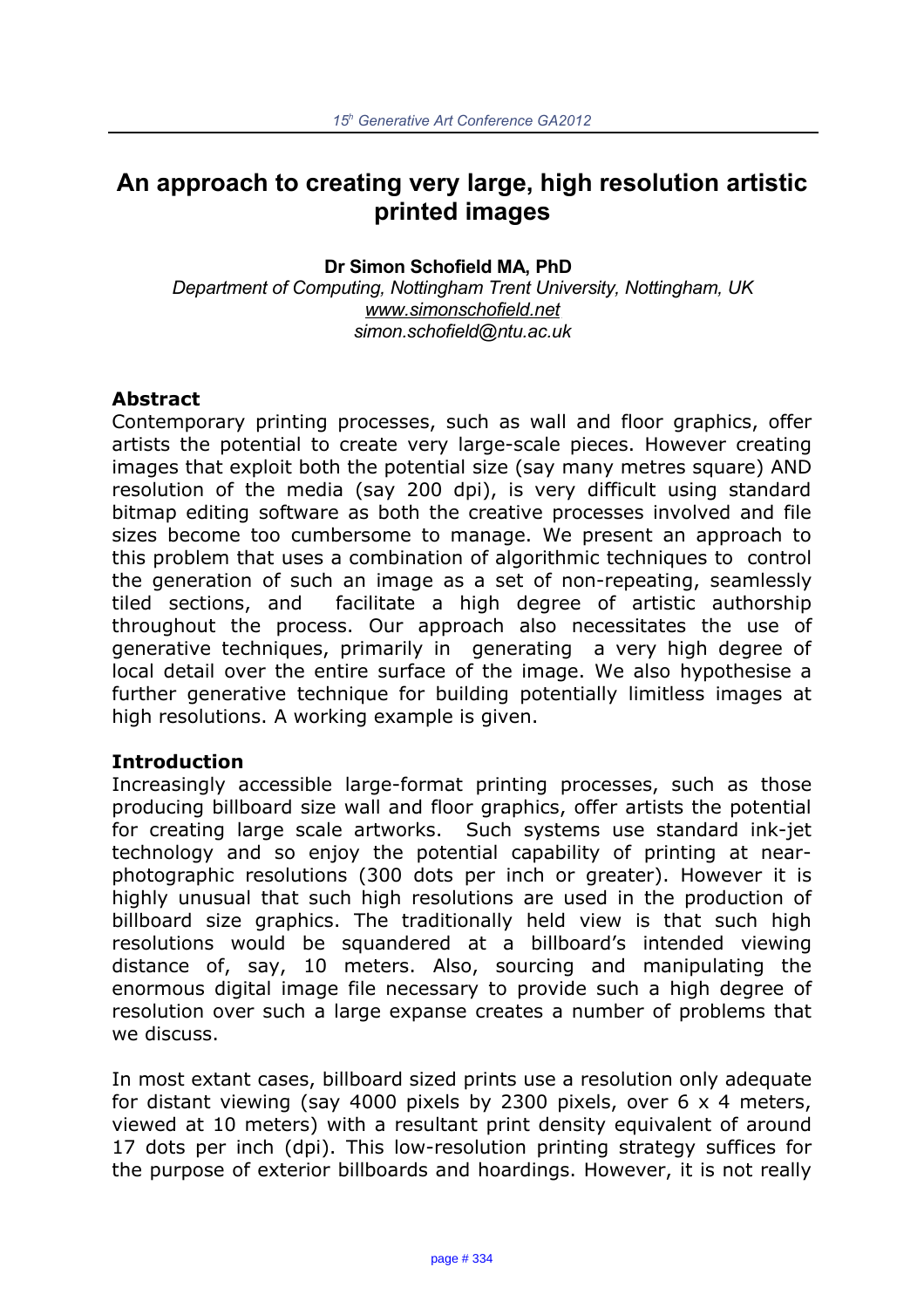## **An approach to creating very large, high resolution artistic printed images**

#### **Dr Simon Schofield MA, PhD**

*Department of Computing, Nottingham Trent University, Nottingham, UK [www.simonschofield.net](http://www.simonschofield.net/)  simon.schofield@ntu.ac.uk*

#### **Abstract**

Contemporary printing processes, such as wall and floor graphics, offer artists the potential to create very large-scale pieces. However creating images that exploit both the potential size (say many metres square) AND resolution of the media (say 200 dpi), is very difficult using standard bitmap editing software as both the creative processes involved and file sizes become too cumbersome to manage. We present an approach to this problem that uses a combination of algorithmic techniques to control the generation of such an image as a set of non-repeating, seamlessly tiled sections, and facilitate a high degree of artistic authorship throughout the process. Our approach also necessitates the use of generative techniques, primarily in generating a very high degree of local detail over the entire surface of the image. We also hypothesise a further generative technique for building potentially limitless images at high resolutions. A working example is given.

#### **Introduction**

Increasingly accessible large-format printing processes, such as those producing billboard size wall and floor graphics, offer artists the potential for creating large scale artworks. Such systems use standard ink-jet technology and so enjoy the potential capability of printing at nearphotographic resolutions (300 dots per inch or greater). However it is highly unusual that such high resolutions are used in the production of billboard size graphics. The traditionally held view is that such high resolutions would be squandered at a billboard's intended viewing distance of, say, 10 meters. Also, sourcing and manipulating the enormous digital image file necessary to provide such a high degree of resolution over such a large expanse creates a number of problems that we discuss.

In most extant cases, billboard sized prints use a resolution only adequate for distant viewing (say 4000 pixels by 2300 pixels, over 6 x 4 meters, viewed at 10 meters) with a resultant print density equivalent of around 17 dots per inch (dpi). This low-resolution printing strategy suffices for the purpose of exterior billboards and hoardings. However, it is not really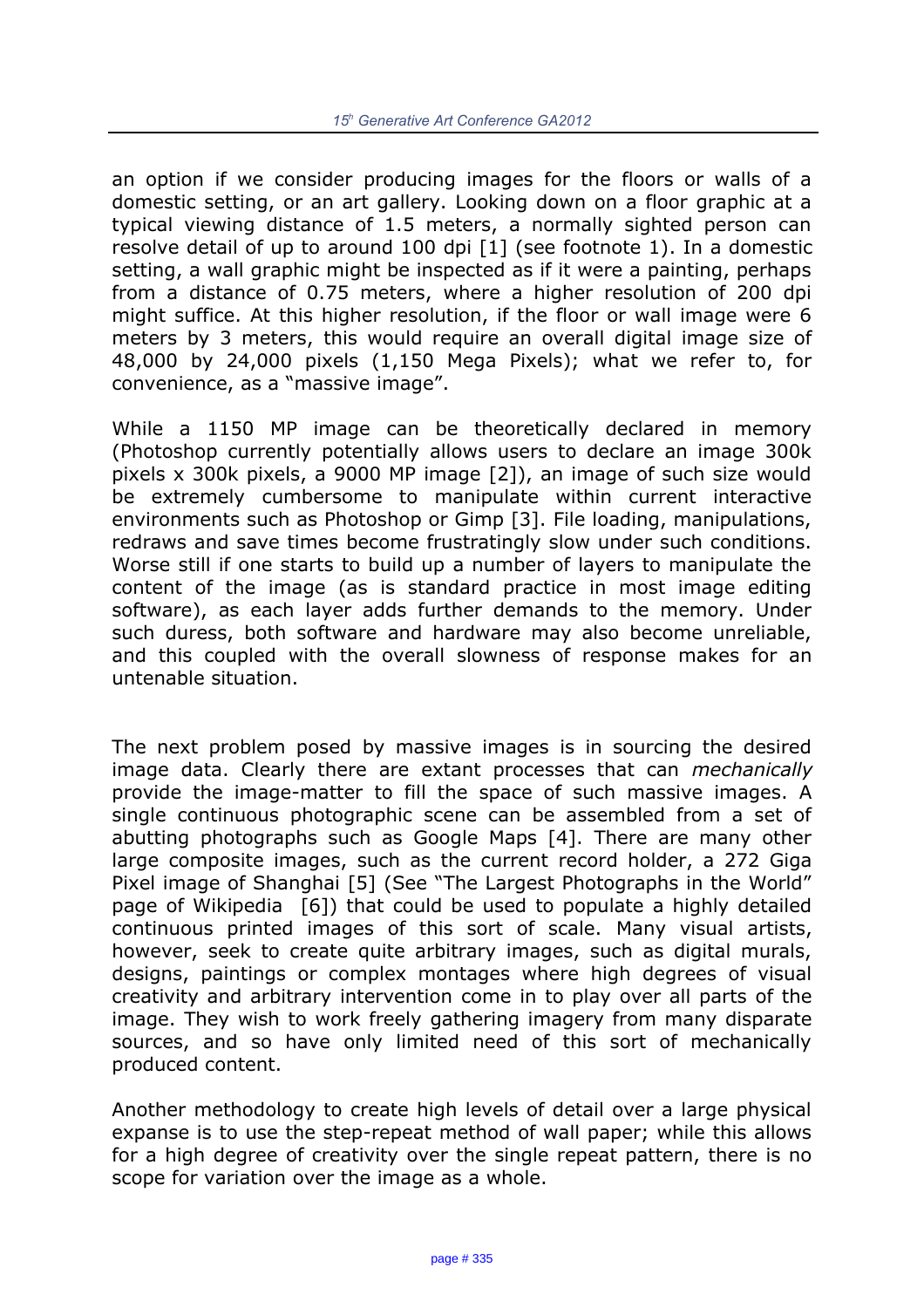an option if we consider producing images for the floors or walls of a domestic setting, or an art gallery. Looking down on a floor graphic at a typical viewing distance of 1.5 meters, a normally sighted person can resolve detail of up to around 100 dpi [1] (see footnote 1). In a domestic setting, a wall graphic might be inspected as if it were a painting, perhaps from a distance of 0.75 meters, where a higher resolution of 200 dpi might suffice. At this higher resolution, if the floor or wall image were 6 meters by 3 meters, this would require an overall digital image size of 48,000 by 24,000 pixels (1,150 Mega Pixels); what we refer to, for convenience, as a "massive image".

While a 1150 MP image can be theoretically declared in memory (Photoshop currently potentially allows users to declare an image 300k pixels x 300k pixels, a 9000 MP image [2]), an image of such size would be extremely cumbersome to manipulate within current interactive environments such as Photoshop or Gimp [3]. File loading, manipulations, redraws and save times become frustratingly slow under such conditions. Worse still if one starts to build up a number of layers to manipulate the content of the image (as is standard practice in most image editing software), as each layer adds further demands to the memory. Under such duress, both software and hardware may also become unreliable, and this coupled with the overall slowness of response makes for an untenable situation.

The next problem posed by massive images is in sourcing the desired image data. Clearly there are extant processes that can *mechanically*  provide the image-matter to fill the space of such massive images. A single continuous photographic scene can be assembled from a set of abutting photographs such as Google Maps [4]. There are many other large composite images, such as the current record holder, a 272 Giga Pixel image of Shanghai [5] (See "The Largest Photographs in the World" page of Wikipedia [6]) that could be used to populate a highly detailed continuous printed images of this sort of scale. Many visual artists, however, seek to create quite arbitrary images, such as digital murals, designs, paintings or complex montages where high degrees of visual creativity and arbitrary intervention come in to play over all parts of the image. They wish to work freely gathering imagery from many disparate sources, and so have only limited need of this sort of mechanically produced content.

Another methodology to create high levels of detail over a large physical expanse is to use the step-repeat method of wall paper; while this allows for a high degree of creativity over the single repeat pattern, there is no scope for variation over the image as a whole.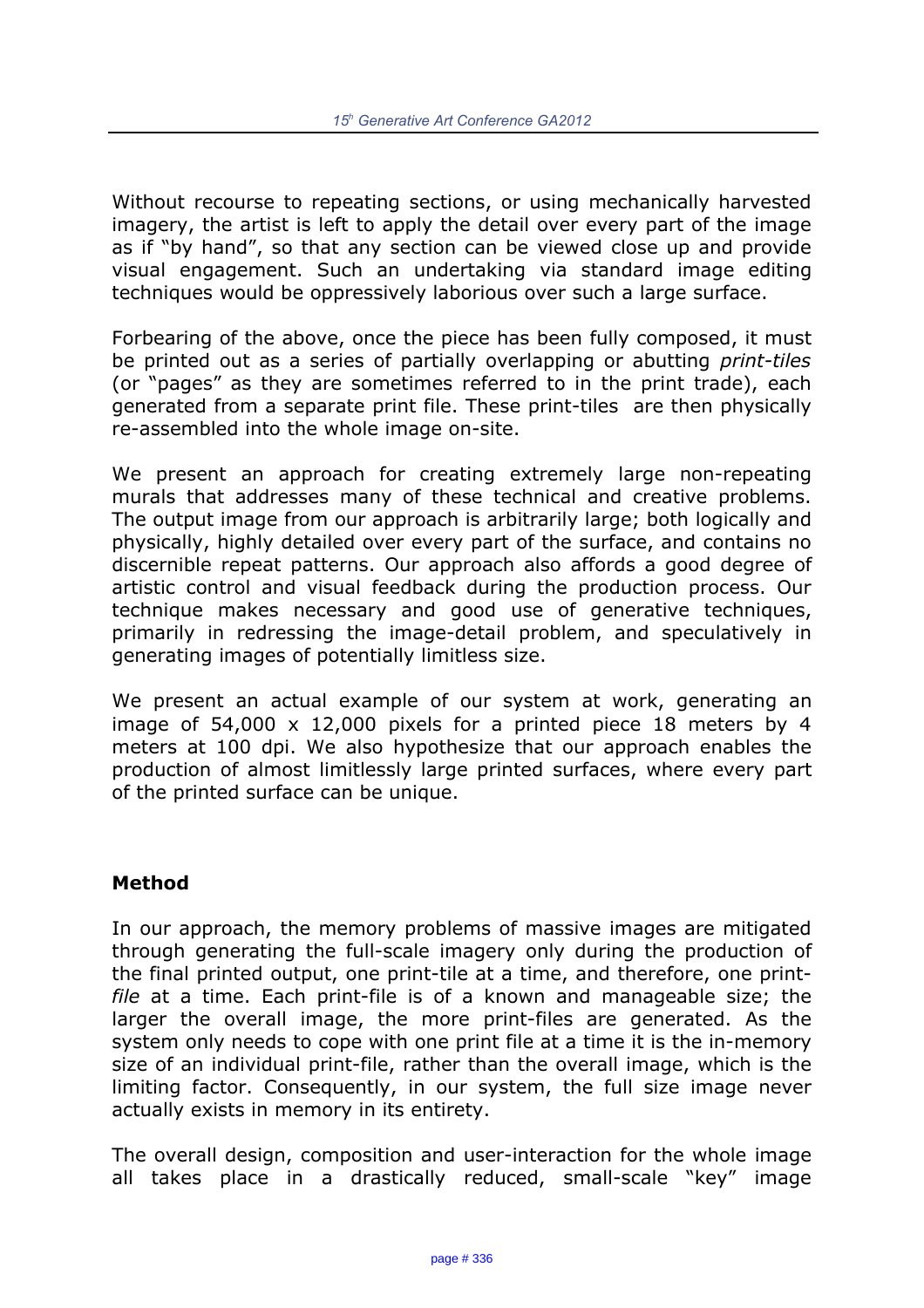Without recourse to repeating sections, or using mechanically harvested imagery, the artist is left to apply the detail over every part of the image as if "by hand", so that any section can be viewed close up and provide visual engagement. Such an undertaking via standard image editing techniques would be oppressively laborious over such a large surface.

Forbearing of the above, once the piece has been fully composed, it must be printed out as a series of partially overlapping or abutting *print-tiles*  (or "pages" as they are sometimes referred to in the print trade), each generated from a separate print file. These print-tiles are then physically re-assembled into the whole image on-site.

We present an approach for creating extremely large non-repeating murals that addresses many of these technical and creative problems. The output image from our approach is arbitrarily large; both logically and physically, highly detailed over every part of the surface, and contains no discernible repeat patterns. Our approach also affords a good degree of artistic control and visual feedback during the production process. Our technique makes necessary and good use of generative techniques, primarily in redressing the image-detail problem, and speculatively in generating images of potentially limitless size.

We present an actual example of our system at work, generating an image of  $54,000 \times 12,000$  pixels for a printed piece 18 meters by 4 meters at 100 dpi. We also hypothesize that our approach enables the production of almost limitlessly large printed surfaces, where every part of the printed surface can be unique.

## **Method**

In our approach, the memory problems of massive images are mitigated through generating the full-scale imagery only during the production of the final printed output, one print-tile at a time, and therefore, one print*file* at a time. Each print-file is of a known and manageable size; the larger the overall image, the more print-files are generated. As the system only needs to cope with one print file at a time it is the in-memory size of an individual print-file, rather than the overall image, which is the limiting factor. Consequently, in our system, the full size image never actually exists in memory in its entirety.

The overall design, composition and user-interaction for the whole image all takes place in a drastically reduced, small-scale "key" image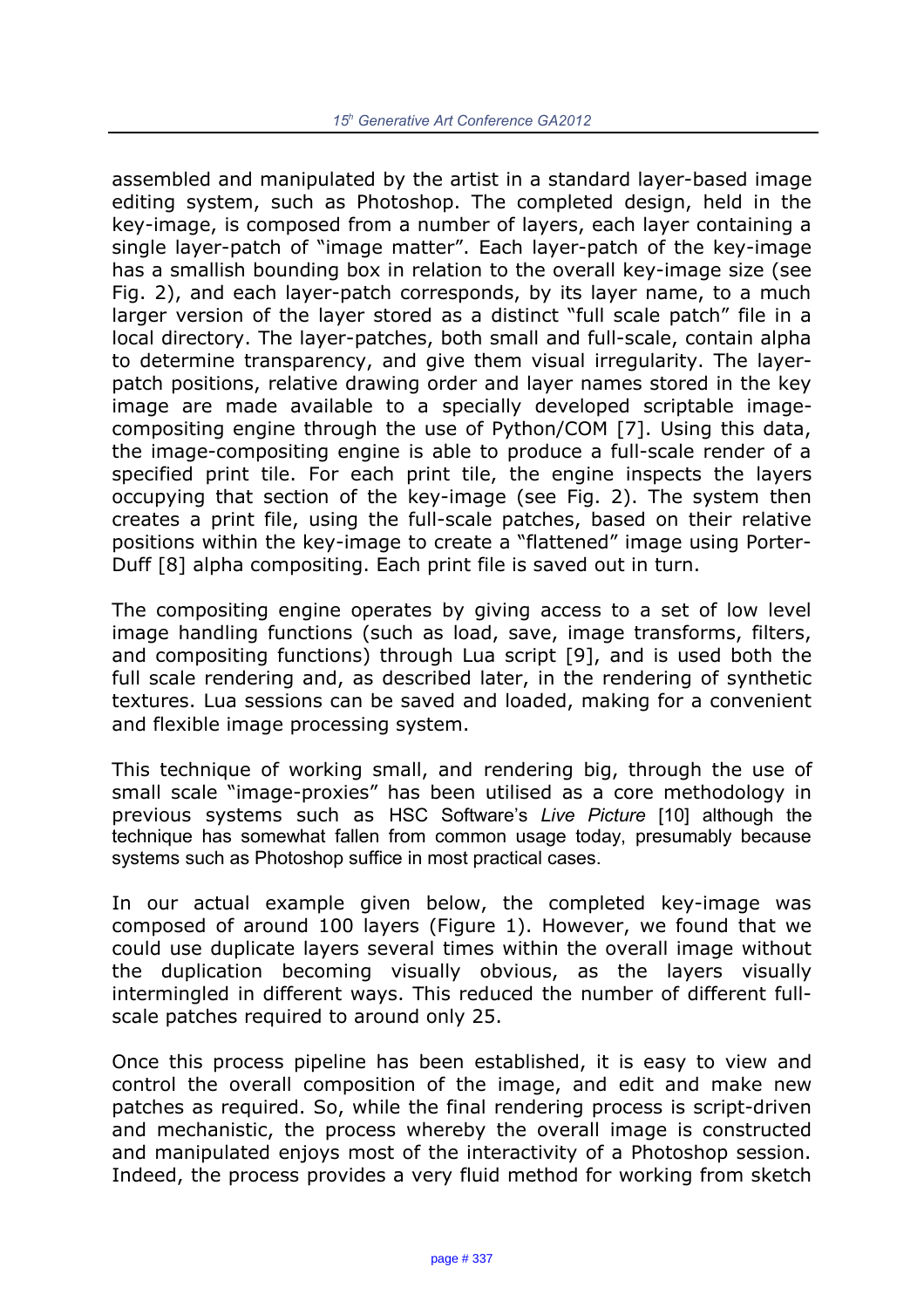assembled and manipulated by the artist in a standard layer-based image editing system, such as Photoshop. The completed design, held in the key-image, is composed from a number of layers, each layer containing a single layer-patch of "image matter". Each layer-patch of the key-image has a smallish bounding box in relation to the overall key-image size (see Fig. 2), and each layer-patch corresponds, by its layer name, to a much larger version of the layer stored as a distinct "full scale patch" file in a local directory. The layer-patches, both small and full-scale, contain alpha to determine transparency, and give them visual irregularity. The layerpatch positions, relative drawing order and layer names stored in the key image are made available to a specially developed scriptable imagecompositing engine through the use of Python/COM [7]. Using this data, the image-compositing engine is able to produce a full-scale render of a specified print tile. For each print tile, the engine inspects the layers occupying that section of the key-image (see Fig. 2). The system then creates a print file, using the full-scale patches, based on their relative positions within the key-image to create a "flattened" image using Porter-Duff [8] alpha compositing. Each print file is saved out in turn.

The compositing engine operates by giving access to a set of low level image handling functions (such as load, save, image transforms, filters, and compositing functions) through Lua script [9], and is used both the full scale rendering and, as described later, in the rendering of synthetic textures. Lua sessions can be saved and loaded, making for a convenient and flexible image processing system.

This technique of working small, and rendering big, through the use of small scale "image-proxies" has been utilised as a core methodology in previous systems such as HSC Software's *Live Picture* [10] although the technique has somewhat fallen from common usage today, presumably because systems such as Photoshop suffice in most practical cases.

In our actual example given below, the completed key-image was composed of around 100 layers (Figure 1). However, we found that we could use duplicate layers several times within the overall image without the duplication becoming visually obvious, as the layers visually intermingled in different ways. This reduced the number of different fullscale patches required to around only 25.

Once this process pipeline has been established, it is easy to view and control the overall composition of the image, and edit and make new patches as required. So, while the final rendering process is script-driven and mechanistic, the process whereby the overall image is constructed and manipulated enjoys most of the interactivity of a Photoshop session. Indeed, the process provides a very fluid method for working from sketch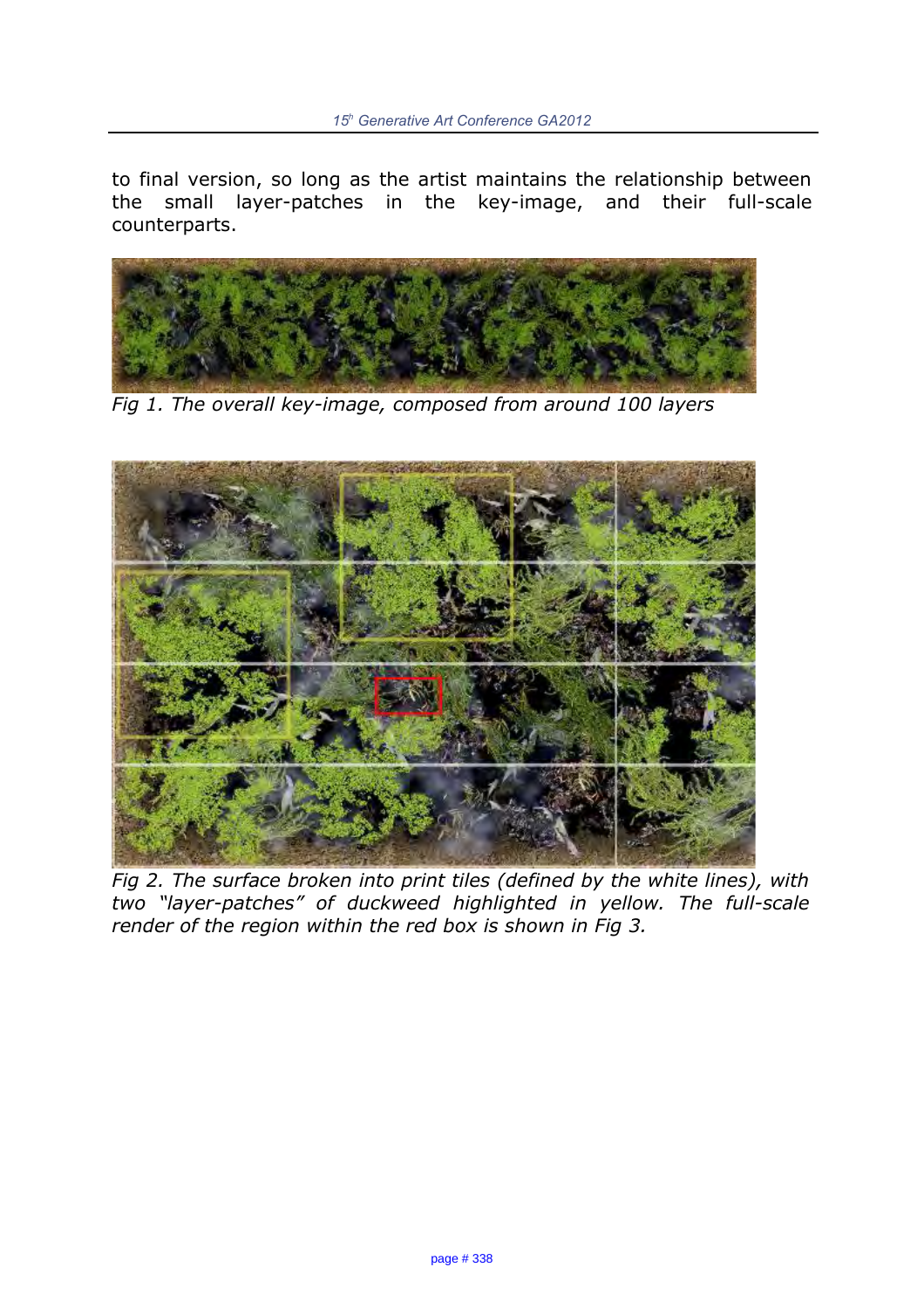to final version, so long as the artist maintains the relationship between the small layer-patches in the key-image, and their full-scale counterparts.



*Fig 1. The overall key-image, composed from around 100 layers*



*Fig 2. The surface broken into print tiles (defined by the white lines), with two "layer-patches" of duckweed highlighted in yellow. The full-scale render of the region within the red box is shown in Fig 3.*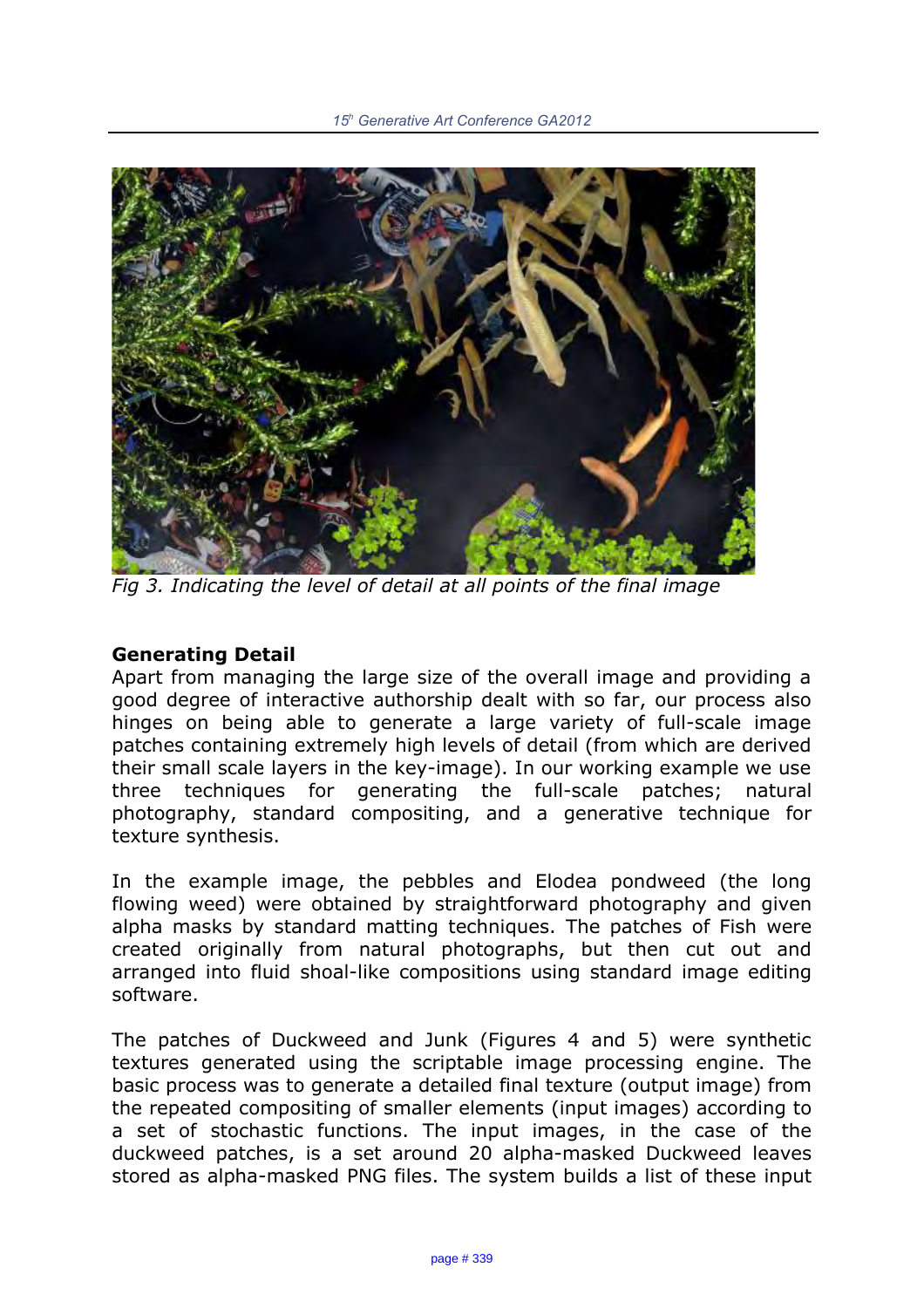

*Fig 3. Indicating the level of detail at all points of the final image*

### **Generating Detail**

Apart from managing the large size of the overall image and providing a good degree of interactive authorship dealt with so far, our process also hinges on being able to generate a large variety of full-scale image patches containing extremely high levels of detail (from which are derived their small scale layers in the key-image). In our working example we use three techniques for generating the full-scale patches; natural photography, standard compositing, and a generative technique for texture synthesis.

In the example image, the pebbles and Elodea pondweed (the long flowing weed) were obtained by straightforward photography and given alpha masks by standard matting techniques. The patches of Fish were created originally from natural photographs, but then cut out and arranged into fluid shoal-like compositions using standard image editing software.

The patches of Duckweed and Junk (Figures 4 and 5) were synthetic textures generated using the scriptable image processing engine. The basic process was to generate a detailed final texture (output image) from the repeated compositing of smaller elements (input images) according to a set of stochastic functions. The input images, in the case of the duckweed patches, is a set around 20 alpha-masked Duckweed leaves stored as alpha-masked PNG files. The system builds a list of these input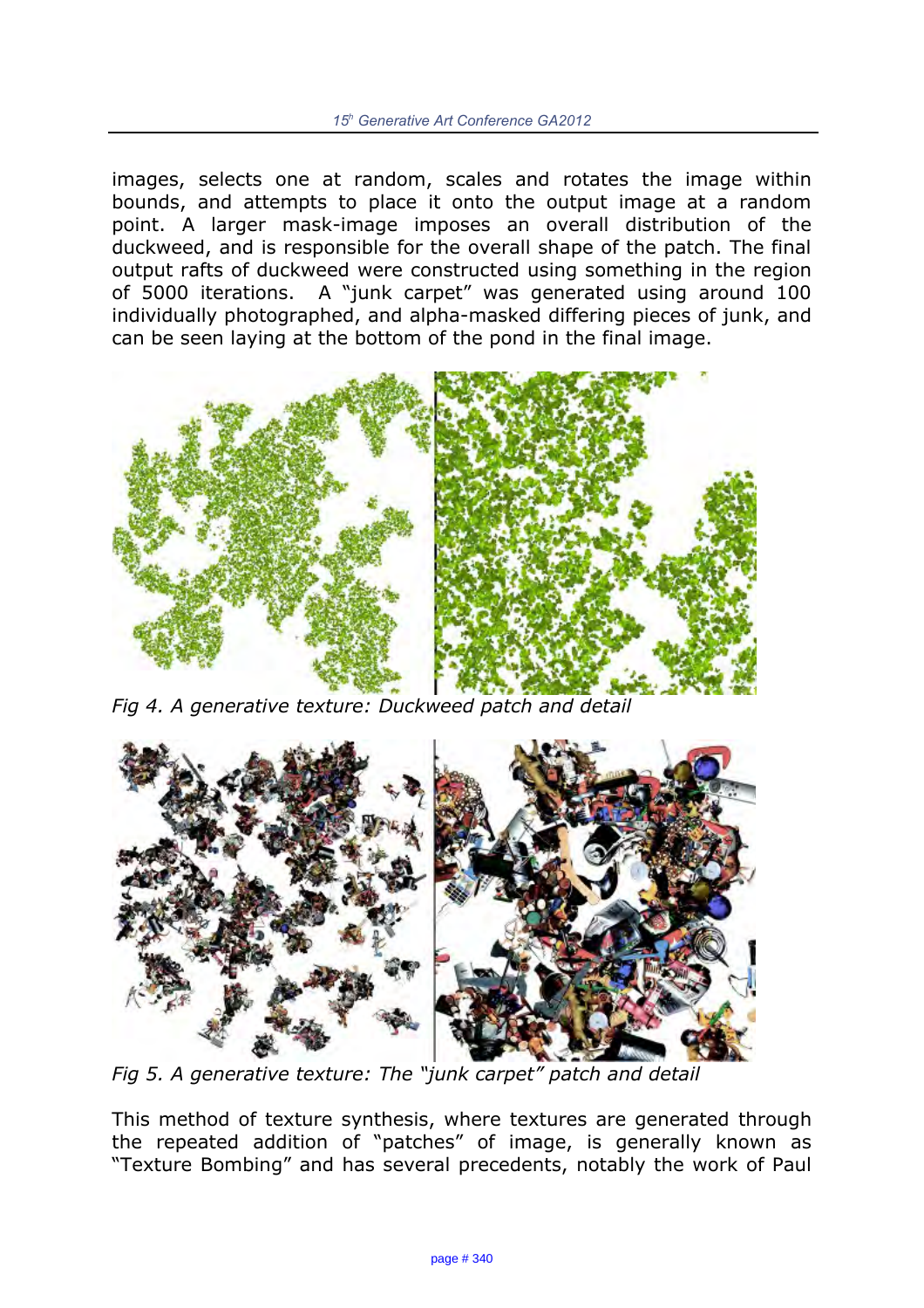#### *15<sup>h</sup> Generative Art Conference GA2012*

images, selects one at random, scales and rotates the image within bounds, and attempts to place it onto the output image at a random point. A larger mask-image imposes an overall distribution of the duckweed, and is responsible for the overall shape of the patch. The final output rafts of duckweed were constructed using something in the region of 5000 iterations. A "junk carpet" was generated using around 100 individually photographed, and alpha-masked differing pieces of junk, and can be seen laying at the bottom of the pond in the final image.



*Fig 4. A generative texture: Duckweed patch and detail*



*Fig 5. A generative texture: The "junk carpet" patch and detail*

This method of texture synthesis, where textures are generated through the repeated addition of "patches" of image, is generally known as "Texture Bombing" and has several precedents, notably the work of Paul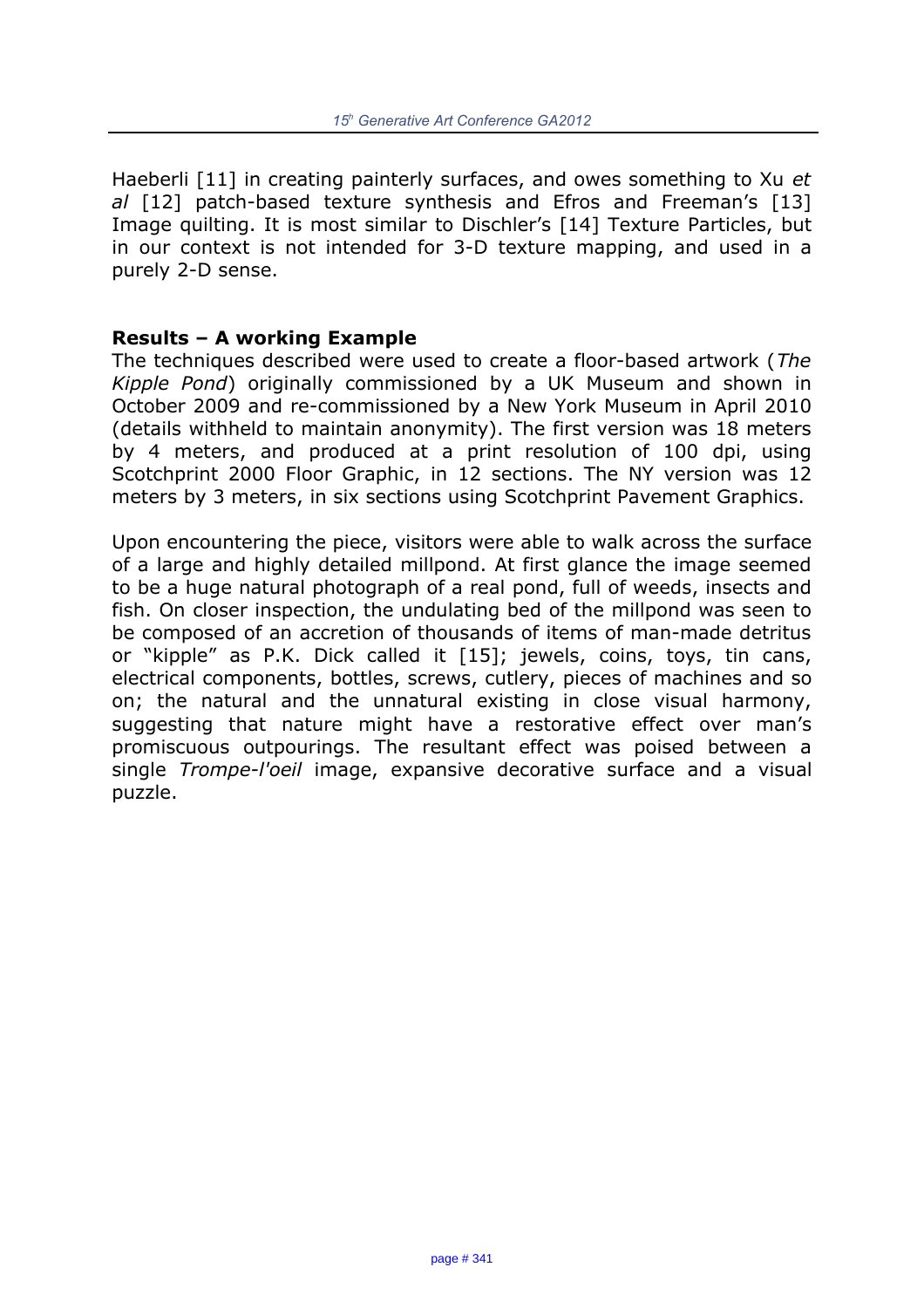Haeberli [11] in creating painterly surfaces, and owes something to Xu *et al* [12] patch-based texture synthesis and Efros and Freeman's [13] Image quilting. It is most similar to Dischler's [14] Texture Particles, but in our context is not intended for 3-D texture mapping, and used in a purely 2-D sense.

#### **Results – A working Example**

The techniques described were used to create a floor-based artwork (*The Kipple Pond*) originally commissioned by a UK Museum and shown in October 2009 and re-commissioned by a New York Museum in April 2010 (details withheld to maintain anonymity). The first version was 18 meters by 4 meters, and produced at a print resolution of 100 dpi, using Scotchprint 2000 Floor Graphic, in 12 sections. The NY version was 12 meters by 3 meters, in six sections using Scotchprint Pavement Graphics.

Upon encountering the piece, visitors were able to walk across the surface of a large and highly detailed millpond. At first glance the image seemed to be a huge natural photograph of a real pond, full of weeds, insects and fish. On closer inspection, the undulating bed of the millpond was seen to be composed of an accretion of thousands of items of man-made detritus or "kipple" as P.K. Dick called it [15]; jewels, coins, toys, tin cans, electrical components, bottles, screws, cutlery, pieces of machines and so on; the natural and the unnatural existing in close visual harmony, suggesting that nature might have a restorative effect over man's promiscuous outpourings. The resultant effect was poised between a single *Trompe-l'oeil* image, expansive decorative surface and a visual puzzle.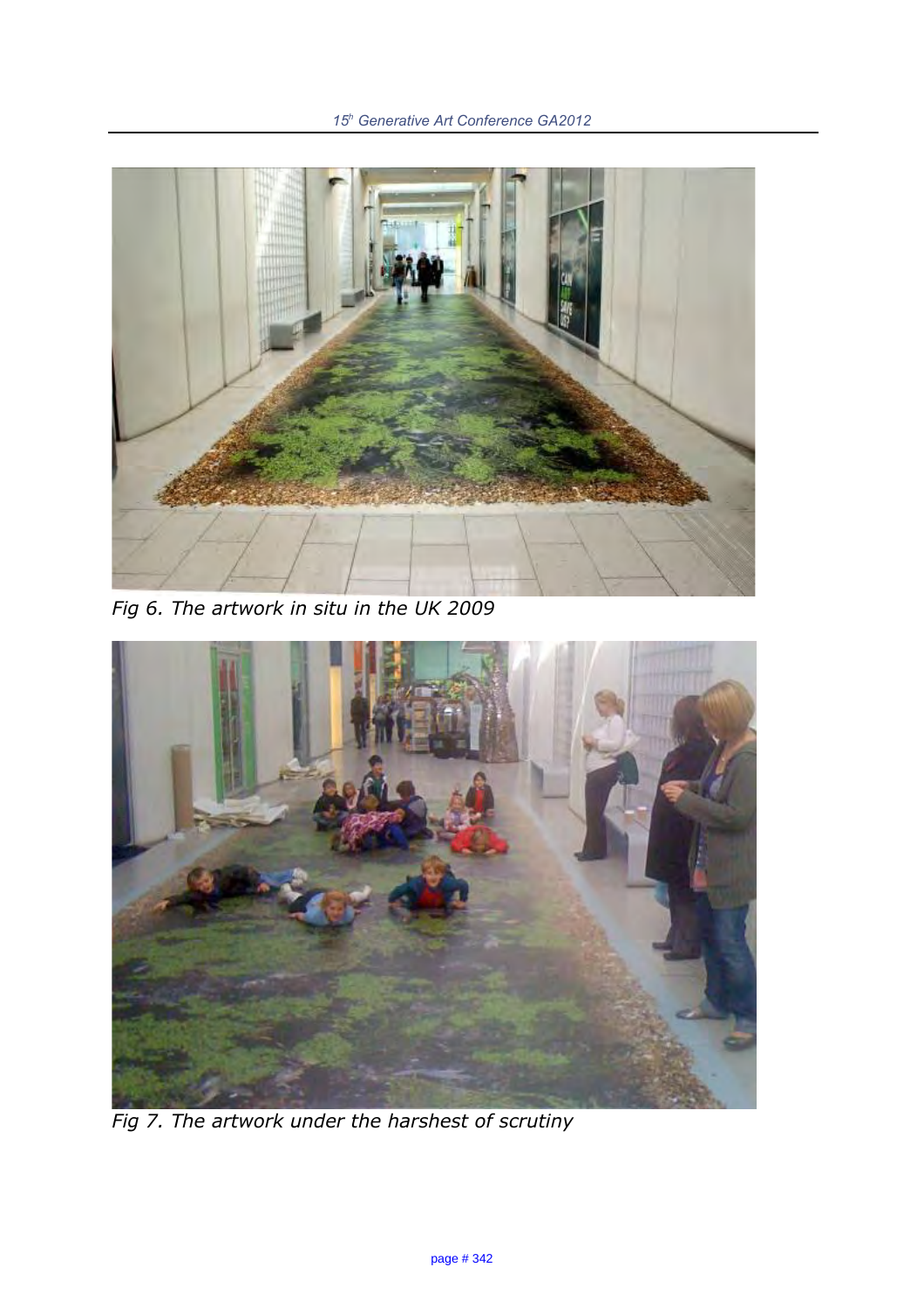

*Fig 6. The artwork in situ in the UK 2009*



*Fig 7. The artwork under the harshest of scrutiny*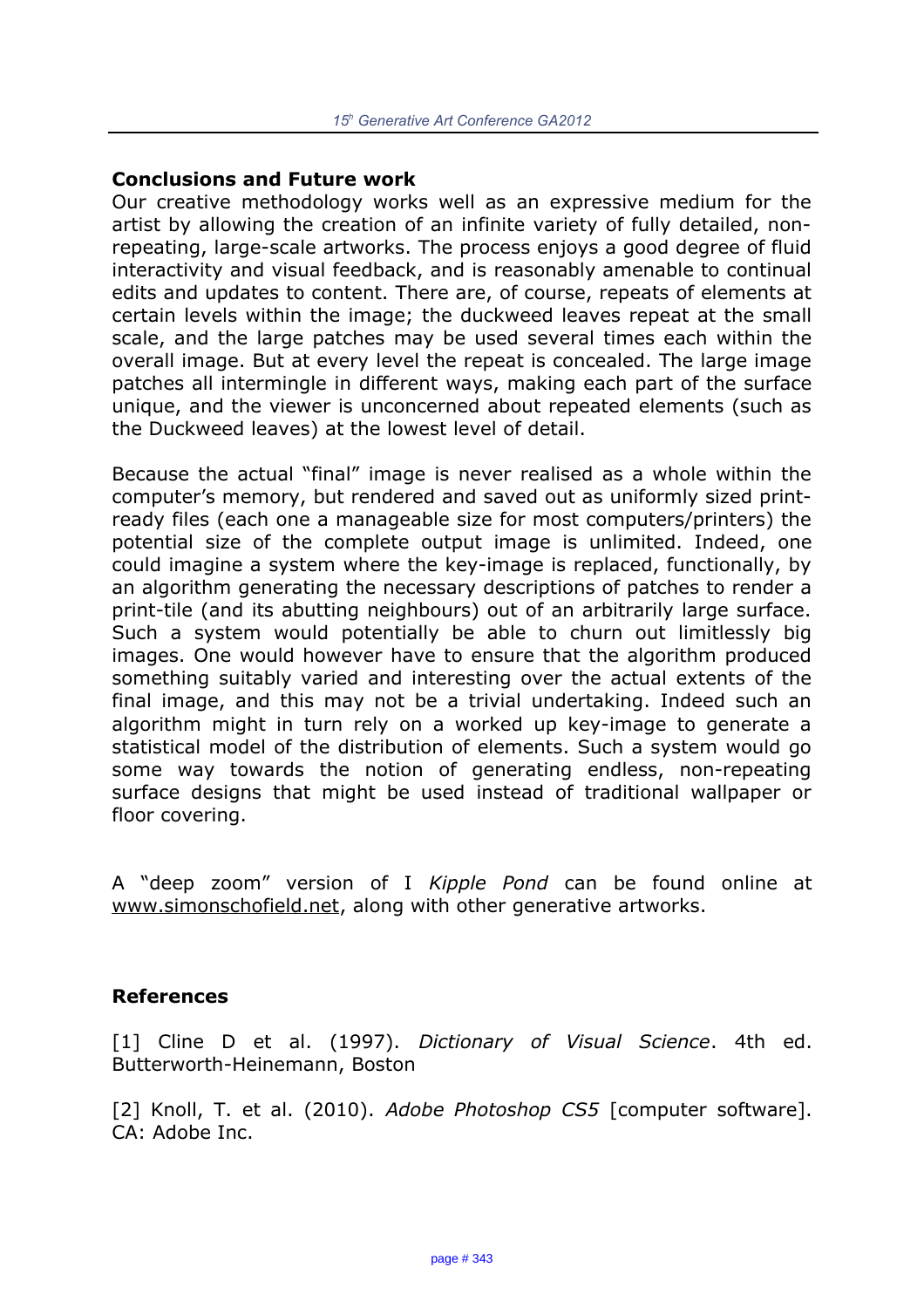#### **Conclusions and Future work**

Our creative methodology works well as an expressive medium for the artist by allowing the creation of an infinite variety of fully detailed, nonrepeating, large-scale artworks. The process enjoys a good degree of fluid interactivity and visual feedback, and is reasonably amenable to continual edits and updates to content. There are, of course, repeats of elements at certain levels within the image; the duckweed leaves repeat at the small scale, and the large patches may be used several times each within the overall image. But at every level the repeat is concealed. The large image patches all intermingle in different ways, making each part of the surface unique, and the viewer is unconcerned about repeated elements (such as the Duckweed leaves) at the lowest level of detail.

Because the actual "final" image is never realised as a whole within the computer's memory, but rendered and saved out as uniformly sized printready files (each one a manageable size for most computers/printers) the potential size of the complete output image is unlimited. Indeed, one could imagine a system where the key-image is replaced, functionally, by an algorithm generating the necessary descriptions of patches to render a print-tile (and its abutting neighbours) out of an arbitrarily large surface. Such a system would potentially be able to churn out limitlessly big images. One would however have to ensure that the algorithm produced something suitably varied and interesting over the actual extents of the final image, and this may not be a trivial undertaking. Indeed such an algorithm might in turn rely on a worked up key-image to generate a statistical model of the distribution of elements. Such a system would go some way towards the notion of generating endless, non-repeating surface designs that might be used instead of traditional wallpaper or floor covering.

A "deep zoom" version of I *Kipple Pond* can be found online at [www.simonschofield.net,](http://www.simonschofield.net/) along with other generative artworks.

#### **References**

[1] Cline D et al. (1997). *Dictionary of Visual Science*. 4th ed. Butterworth-Heinemann, Boston

[2] Knoll, T. et al. (2010). *Adobe Photoshop CS5* [computer software]. CA: Adobe Inc.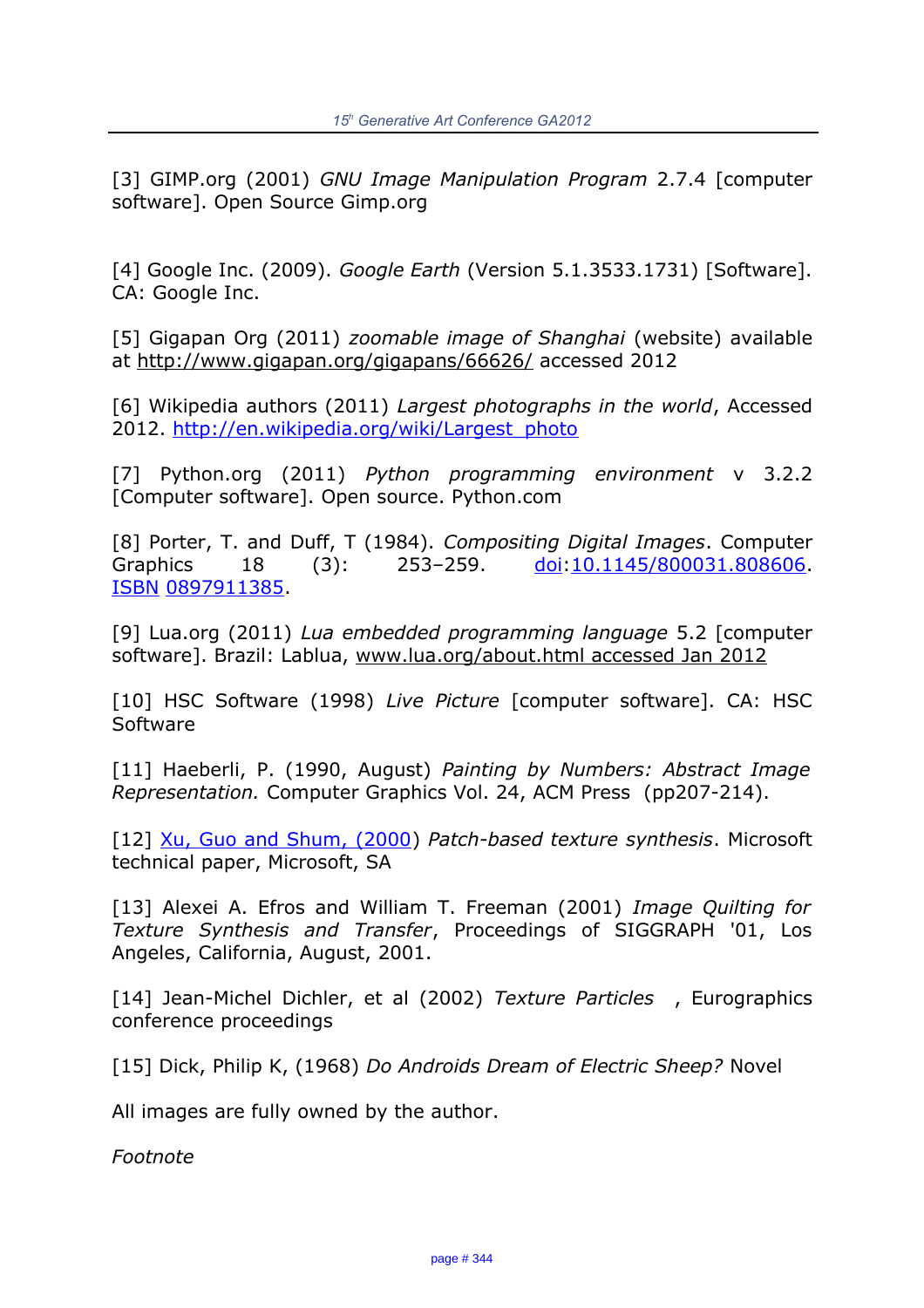[3] GIMP.org (2001) *GNU Image Manipulation Program* 2.7.4 [computer software]. Open Source Gimp.org

[4] Google Inc. (2009). *Google Earth* (Version 5.1.3533.1731) [Software]. CA: Google Inc.

[5] Gigapan Org (2011) *zoomable image of Shanghai* (website) available at<http://www.gigapan.org/gigapans/66626/>accessed 2012

[6] Wikipedia authors (2011) *Largest photographs in the world*, Accessed 2012. [http://en.wikipedia.org/wiki/Largest\\_photo](http://en.wikipedia.org/wiki/Largest_photo)

[7] Python.org (2011) *Python programming environment* v 3.2.2 [Computer software]. Open source. Python.com

[8] Porter, T. and Duff, T (1984). *Compositing Digital Images*. Computer Graphics 18 (3): 253–259. [doi:](http://en.wikipedia.org/wiki/Digital_object_identifier)[10.1145/800031.808606.](http://dx.doi.org/10.1145%2F800031.808606) [ISBN](http://en.wikipedia.org/wiki/International_Standard_Book_Number) [0897911385.](http://en.wikipedia.org/wiki/Special:BookSources/0897911385)

[9] Lua.org (2011) *Lua embedded programming language* 5.2 [computer software]. Brazil: Lablua, [www.lua.org/about.html accessed Jan 2012](http://www.lua.org/about.html%20accessed%20Jan%202012)

[10] HSC Software (1998) *Live Picture* [computer software]. CA: HSC Software

[11] Haeberli, P. (1990, August) *Painting by Numbers: Abstract Image Representation.* Computer Graphics Vol. 24, ACM Press (pp207-214).

[12] [Xu, Guo and Shum, \(2000\)](http://civs.stat.ucla.edu/old/Texture/MSR_Texture/Homepage/datahp1.htm) *Patch-based texture synthesis*. Microsoft technical paper, Microsoft, SA

[13] Alexei A. Efros and William T. Freeman (2001) *Image Quilting for Texture Synthesis and Transfer*, Proceedings of SIGGRAPH '01, Los Angeles, California, August, 2001.

[14] Jean-Michel Dichler, et al (2002) *Texture Particles* , Eurographics conference proceedings

[15] Dick, Philip K, (1968) *Do Androids Dream of Electric Sheep?* Novel

All images are fully owned by the author.

*Footnote*